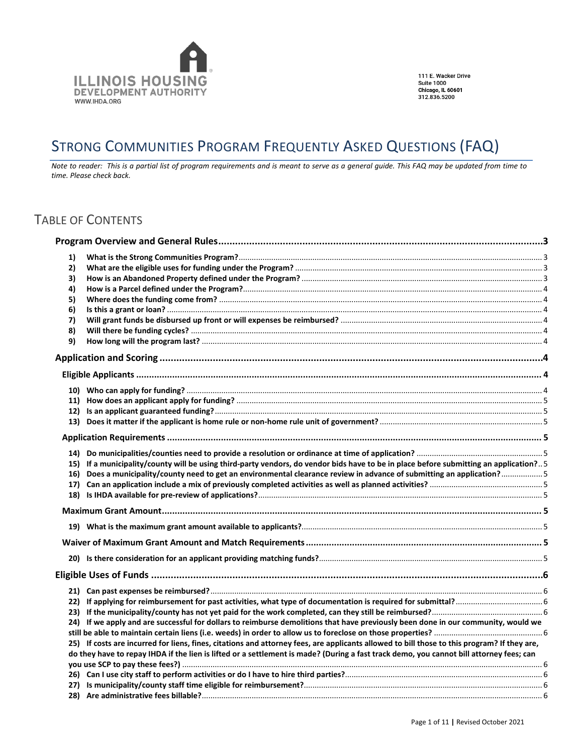

111 E. Wacker Drive **Suite 1000** Suite 1000<br>Chicago, IL 60601<br>312.836.5200

# STRONG COMMUNITIES PROGRAM FREQUENTLY ASKED QUESTIONS (FAQ)

*Note to reader: This is a partial list of program requirements and is meant to serve as a general guide. This FAQ may be updated from time to time. Please check back.*

# TABLE OF CONTENTS

| 1) |                                                                                                                                             |  |
|----|---------------------------------------------------------------------------------------------------------------------------------------------|--|
| 2) |                                                                                                                                             |  |
| 3) |                                                                                                                                             |  |
| 4) |                                                                                                                                             |  |
| 5) |                                                                                                                                             |  |
| 6) |                                                                                                                                             |  |
| 7) |                                                                                                                                             |  |
| 8) |                                                                                                                                             |  |
| 9) |                                                                                                                                             |  |
|    |                                                                                                                                             |  |
|    |                                                                                                                                             |  |
|    |                                                                                                                                             |  |
|    |                                                                                                                                             |  |
|    |                                                                                                                                             |  |
|    |                                                                                                                                             |  |
|    |                                                                                                                                             |  |
|    |                                                                                                                                             |  |
|    | 15) If a municipality/county will be using third-party vendors, do vendor bids have to be in place before submitting an application?5       |  |
|    | 16) Does a municipality/county need to get an environmental clearance review in advance of submitting an application?5                      |  |
|    |                                                                                                                                             |  |
|    |                                                                                                                                             |  |
|    |                                                                                                                                             |  |
|    |                                                                                                                                             |  |
|    |                                                                                                                                             |  |
|    |                                                                                                                                             |  |
|    |                                                                                                                                             |  |
|    |                                                                                                                                             |  |
|    |                                                                                                                                             |  |
|    |                                                                                                                                             |  |
|    |                                                                                                                                             |  |
|    | 24) If we apply and are successful for dollars to reimburse demolitions that have previously been done in our community, would we           |  |
|    |                                                                                                                                             |  |
|    | 25) If costs are incurred for liens, fines, citations and attorney fees, are applicants allowed to bill those to this program? If they are, |  |
|    | do they have to repay IHDA if the lien is lifted or a settlement is made? (During a fast track demo, you cannot bill attorney fees; can     |  |
|    |                                                                                                                                             |  |
|    |                                                                                                                                             |  |
|    |                                                                                                                                             |  |
|    |                                                                                                                                             |  |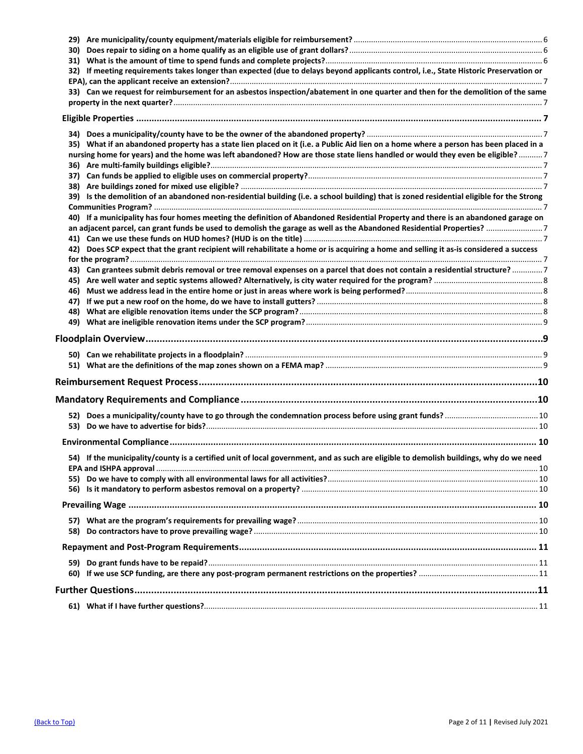| 32) If meeting requirements takes longer than expected (due to delays beyond applicants control, i.e., State Historic Preservation or     |  |
|-------------------------------------------------------------------------------------------------------------------------------------------|--|
|                                                                                                                                           |  |
| 33) Can we request for reimbursement for an asbestos inspection/abatement in one quarter and then for the demolition of the same          |  |
|                                                                                                                                           |  |
|                                                                                                                                           |  |
|                                                                                                                                           |  |
|                                                                                                                                           |  |
| 35) What if an abandoned property has a state lien placed on it (i.e. a Public Aid lien on a home where a person has been placed in a     |  |
| nursing home for years) and the home was left abandoned? How are those state liens handled or would they even be eligible?7               |  |
|                                                                                                                                           |  |
|                                                                                                                                           |  |
| 39) Is the demolition of an abandoned non-residential building (i.e. a school building) that is zoned residential eligible for the Strong |  |
|                                                                                                                                           |  |
| 40) If a municipality has four homes meeting the definition of Abandoned Residential Property and there is an abandoned garage on         |  |
|                                                                                                                                           |  |
|                                                                                                                                           |  |
| 42) Does SCP expect that the grant recipient will rehabilitate a home or is acquiring a home and selling it as-is considered a success    |  |
|                                                                                                                                           |  |
| 43) Can grantees submit debris removal or tree removal expenses on a parcel that does not contain a residential structure? 7              |  |
|                                                                                                                                           |  |
|                                                                                                                                           |  |
|                                                                                                                                           |  |
|                                                                                                                                           |  |
|                                                                                                                                           |  |
|                                                                                                                                           |  |
|                                                                                                                                           |  |
|                                                                                                                                           |  |
|                                                                                                                                           |  |
|                                                                                                                                           |  |
|                                                                                                                                           |  |
|                                                                                                                                           |  |
|                                                                                                                                           |  |
|                                                                                                                                           |  |
|                                                                                                                                           |  |
| 54) If the municipality/county is a certified unit of local government, and as such are eligible to demolish buildings, why do we need    |  |
|                                                                                                                                           |  |
|                                                                                                                                           |  |
|                                                                                                                                           |  |
|                                                                                                                                           |  |
|                                                                                                                                           |  |
|                                                                                                                                           |  |
|                                                                                                                                           |  |
|                                                                                                                                           |  |
|                                                                                                                                           |  |
|                                                                                                                                           |  |
|                                                                                                                                           |  |
|                                                                                                                                           |  |
|                                                                                                                                           |  |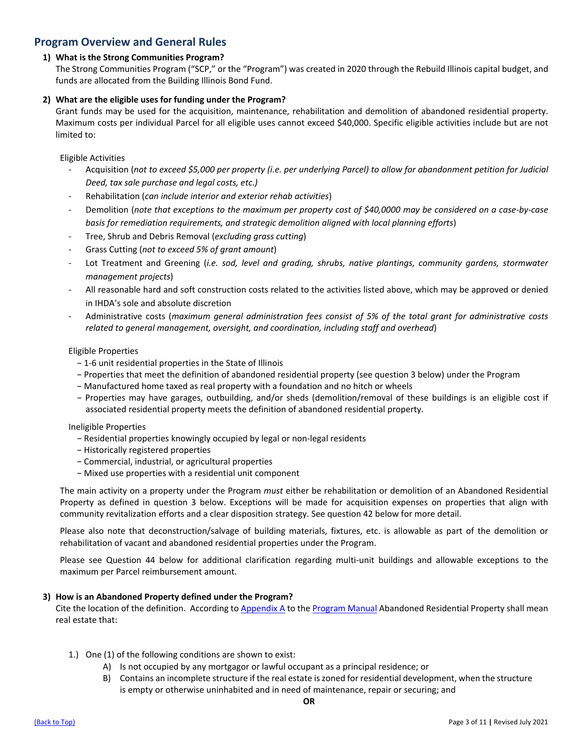# **Program Overview and General Rules**

# **1) What is the Strong Communities Program?**

The Strong Communities Program ("SCP," or the "Program") was created in 2020 through the Rebuild Illinois capital budget, and funds are allocated from the Building Illinois Bond Fund.

# **2) What are the eligible uses for funding under the Program?**

Grant funds may be used for the acquisition, maintenance, rehabilitation and demolition of abandoned residential property. Maximum costs per individual Parcel for all eligible uses cannot exceed \$40,000. Specific eligible activities include but are not limited to:

Eligible Activities

- Acquisition (*not to exceed \$5,000 per property (i.e. per underlying Parcel) to allow for abandonment petition for Judicial Deed, tax sale purchase and legal costs, etc.)*
- Rehabilitation (*can include interior and exterior rehab activities*)
- Demolition (*note that exceptions to the maximum per property cost of \$40,0000 may be considered on a case-by-case basis for remediation requirements, and strategic demolition aligned with local planning efforts*)
- Tree, Shrub and Debris Removal (*excluding grass cutting*)
- Grass Cutting (*not to exceed 5% of grant amount*)
- Lot Treatment and Greening (*i.e. sod, level and grading, shrubs, native plantings, community gardens, stormwater management projects*)
- All reasonable hard and soft construction costs related to the activities listed above, which may be approved or denied in IHDA's sole and absolute discretion
- Administrative costs (*maximum general administration fees consist of 5% of the total grant for administrative costs related to general management, oversight, and coordination, including staff and overhead*)

# Eligible Properties

- − 1-6 unit residential properties in the State of Illinois
- − Properties that meet the definition of abandoned residential property (see question 3 below) under the Program
- − Manufactured home taxed as real property with a foundation and no hitch or wheels
- − Properties may have garages, outbuilding, and/or sheds (demolition/removal of these buildings is an eligible cost if associated residential property meets the definition of abandoned residential property.

## Ineligible Properties

- − Residential properties knowingly occupied by legal or non-legal residents
- − Historically registered properties
- − Commercial, industrial, or agricultural properties
- − Mixed use properties with a residential unit component

The main activity on a property under the Program *must* either be rehabilitation or demolition of an Abandoned Residential Property as defined in question 3 below. Exceptions will be made for acquisition expenses on properties that align with community revitalization efforts and a clear disposition strategy. See question 42 below for more detail.

Please also note that deconstruction/salvage of building materials, fixtures, etc. is allowable as part of the demolition or rehabilitation of vacant and abandoned residential properties under the Program.

Please see Question 44 below for additional clarification regarding multi-unit buildings and allowable exceptions to the maximum per Parcel reimbursement amount.

# **3) How is an Abandoned Property defined under the Program?**

Cite the location of the definition. According to [Appendix A](https://df7qosnywqs6g.cloudfront.net/wp-content/uploads/2021/07/Appendix-A-Definition-of-Abandoned-Residential-Property.pdf) to th[e Program Manual](https://df7qosnywqs6g.cloudfront.net/wp-content/uploads/2021/10/Strong-Communities-Program-Manual-Update-10.8.2021.pdf) Abandoned Residential Property shall mean real estate that:

- 1.) One (1) of the following conditions are shown to exist:
	- A) Is not occupied by any mortgagor or lawful occupant as a principal residence; or
	- B) Contains an incomplete structure if the real estate is zoned for residential development, when the structure is empty or otherwise uninhabited and in need of maintenance, repair or securing; and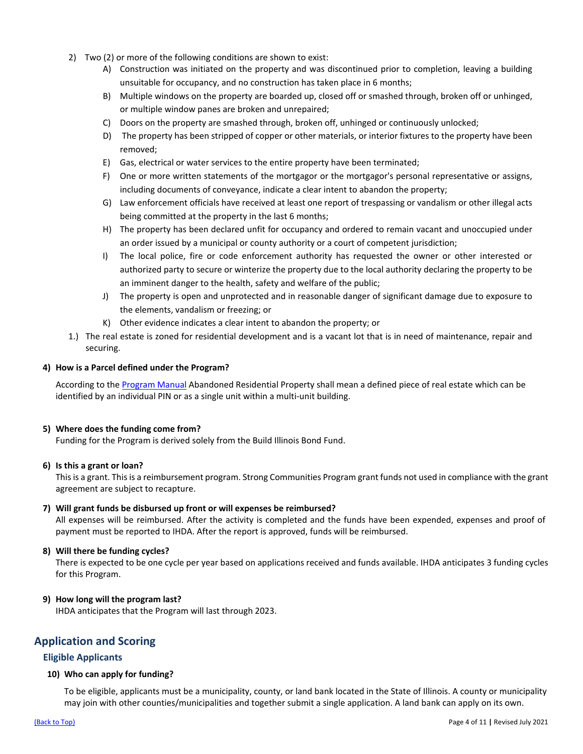- 2) Two (2) or more of the following conditions are shown to exist:
	- A) Construction was initiated on the property and was discontinued prior to completion, leaving a building unsuitable for occupancy, and no construction has taken place in 6 months;
	- B) Multiple windows on the property are boarded up, closed off or smashed through, broken off or unhinged, or multiple window panes are broken and unrepaired;
	- C) Doors on the property are smashed through, broken off, unhinged or continuously unlocked;
	- D) The property has been stripped of copper or other materials, or interior fixtures to the property have been removed;
	- E) Gas, electrical or water services to the entire property have been terminated;
	- F) One or more written statements of the mortgagor or the mortgagor's personal representative or assigns, including documents of conveyance, indicate a clear intent to abandon the property;
	- G) Law enforcement officials have received at least one report of trespassing or vandalism or other illegal acts being committed at the property in the last 6 months;
	- H) The property has been declared unfit for occupancy and ordered to remain vacant and unoccupied under an order issued by a municipal or county authority or a court of competent jurisdiction;
	- I) The local police, fire or code enforcement authority has requested the owner or other interested or authorized party to secure or winterize the property due to the local authority declaring the property to be an imminent danger to the health, safety and welfare of the public;
	- J) The property is open and unprotected and in reasonable danger of significant damage due to exposure to the elements, vandalism or freezing; or
	- K) Other evidence indicates a clear intent to abandon the property; or
- 1.) The real estate is zoned for residential development and is a vacant lot that is in need of maintenance, repair and securing.

# **4) How is a Parcel defined under the Program?**

According to the [Program Manual](https://df7qosnywqs6g.cloudfront.net/wp-content/uploads/2021/10/Strong-Communities-Program-Manual-Update-10.8.2021.pdf) Abandoned Residential Property shall mean a defined piece of real estate which can be identified by an individual PIN or as a single unit within a multi-unit building.

## **5) Where does the funding come from?**

Funding for the Program is derived solely from the Build Illinois Bond Fund.

## **6) Is this a grant or loan?**

This is a grant. This is a reimbursement program. Strong Communities Program grant funds not used in compliance with the grant agreement are subject to recapture.

# **7) Will grant funds be disbursed up front or will expenses be reimbursed?**

All expenses will be reimbursed. After the activity is completed and the funds have been expended, expenses and proof of payment must be reported to IHDA. After the report is approved, funds will be reimbursed.

## **8) Will there be funding cycles?**

There is expected to be one cycle per year based on applications received and funds available. IHDA anticipates 3 funding cycles for this Program.

## **9) How long will the program last?**

IHDA anticipates that the Program will last through 2023.

# **Application and Scoring**

# **Eligible Applicants**

## **10) Who can apply for funding?**

To be eligible, applicants must be a municipality, county, or land bank located in the State of Illinois. A county or municipality may join with other counties/municipalities and together submit a single application. A land bank can apply on its own.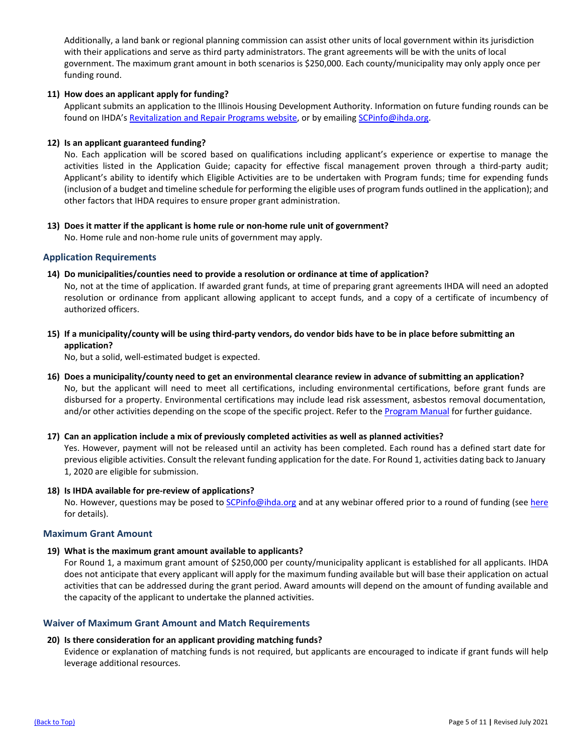Additionally, a land bank or regional planning commission can assist other units of local government within its jurisdiction with their applications and serve as third party administrators. The grant agreements will be with the units of local government. The maximum grant amount in both scenarios is \$250,000. Each county/municipality may only apply once per funding round.

# **11) How does an applicant apply for funding?**

Applicant submits an application to the Illinois Housing Development Authority. Information on future funding rounds can be found on IHDA's [Revitalization and Repair Programs website,](https://www.ihda.org/my-community/revitalization-programs/) or by emailing [SCPinfo@ihda.org.](mailto:SCPinfo@ihda.org)

## **12) Is an applicant guaranteed funding?**

No. Each application will be scored based on qualifications including applicant's experience or expertise to manage the activities listed in the Application Guide; capacity for effective fiscal management proven through a third-party audit; Applicant's ability to identify which Eligible Activities are to be undertaken with Program funds; time for expending funds (inclusion of a budget and timeline schedule for performing the eligible uses of program funds outlined in the application); and other factors that IHDA requires to ensure proper grant administration.

**13) Does it matter if the applicant is home rule or non-home rule unit of government?** No. Home rule and non-home rule units of government may apply.

# **Application Requirements**

**14) Do municipalities/counties need to provide a resolution or ordinance at time of application?**

No, not at the time of application. If awarded grant funds, at time of preparing grant agreements IHDA will need an adopted resolution or ordinance from applicant allowing applicant to accept funds, and a copy of a certificate of incumbency of authorized officers.

**15) If a municipality/county will be using third-party vendors, do vendor bids have to be in place before submitting an application?**

No, but a solid, well-estimated budget is expected.

**16) Does a municipality/county need to get an environmental clearance review in advance of submitting an application?** No, but the applicant will need to meet all certifications, including environmental certifications, before grant funds are disbursed for a property. Environmental certifications may include lead risk assessment, asbestos removal documentation, and/or other activities depending on the scope of the specific project. Refer to the [Program Manual](https://df7qosnywqs6g.cloudfront.net/wp-content/uploads/2021/10/Strong-Communities-Program-Manual-Update-10.8.2021.pdf) for further guidance.

## **17) Can an application include a mix of previously completed activities as well as planned activities?**

Yes. However, payment will not be released until an activity has been completed. Each round has a defined start date for previous eligible activities. Consult the relevant funding application for the date. For Round 1, activities dating back to January 1, 2020 are eligible for submission.

## **18) Is IHDA available for pre-review of applications?**

No. However, questions may be posed t[o SCPinfo@ihda.org](mailto:SCPinfo@ihda.org) and at any webinar offered prior to a round of funding (see [here](http://www.ihda.org/my-community/revitalization-programs/) for details).

## **Maximum Grant Amount**

**19) What is the maximum grant amount available to applicants?**

For Round 1, a maximum grant amount of \$250,000 per county/municipality applicant is established for all applicants. IHDA does not anticipate that every applicant will apply for the maximum funding available but will base their application on actual activities that can be addressed during the grant period. Award amounts will depend on the amount of funding available and the capacity of the applicant to undertake the planned activities.

# **Waiver of Maximum Grant Amount and Match Requirements**

## **20) Is there consideration for an applicant providing matching funds?**

Evidence or explanation of matching funds is not required, but applicants are encouraged to indicate if grant funds will help leverage additional resources.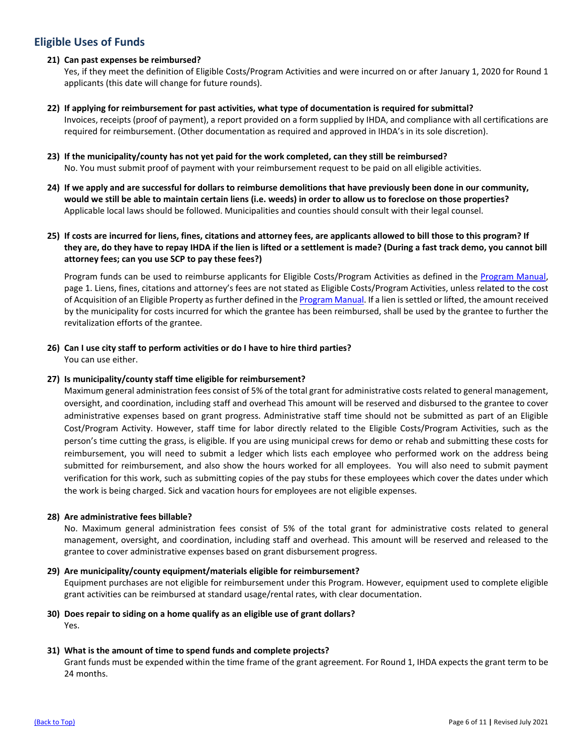# **Eligible Uses of Funds**

# **21) Can past expenses be reimbursed?**

Yes, if they meet the definition of Eligible Costs/Program Activities and were incurred on or after January 1, 2020 for Round 1 applicants (this date will change for future rounds).

- **22) If applying for reimbursement for past activities, what type of documentation is required for submittal?** Invoices, receipts (proof of payment), a report provided on a form supplied by IHDA, and compliance with all certifications are required for reimbursement. (Other documentation as required and approved in IHDA's in its sole discretion).
- **23) If the municipality/county has not yet paid for the work completed, can they still be reimbursed?**  No. You must submit proof of payment with your reimbursement request to be paid on all eligible activities.
- **24) If we apply and are successful for dollars to reimburse demolitions that have previously been done in our community, would we still be able to maintain certain liens (i.e. weeds) in order to allow us to foreclose on those properties?**  Applicable local laws should be followed. Municipalities and counties should consult with their legal counsel.
- **25) If costs are incurred for liens, fines, citations and attorney fees, are applicants allowed to bill those to this program? If they are, do they have to repay IHDA if the lien is lifted or a settlement is made? (During a fast track demo, you cannot bill attorney fees; can you use SCP to pay these fees?)**

Program funds can be used to reimburse applicants for Eligible Costs/Program Activities as defined in the Program Manual, page 1. Liens, fines, citations and attorney's fees are not stated as Eligible Costs/Program Activities, unless related to the cost of Acquisition of an Eligible Property as further defined in th[e Program Manual.](https://df7qosnywqs6g.cloudfront.net/wp-content/uploads/2021/10/Strong-Communities-Program-Manual-Update-10.8.2021.pdf) If a lien is settled or lifted, the amount received by the municipality for costs incurred for which the grantee has been reimbursed, shall be used by the grantee to further the revitalization efforts of the grantee.

**26) Can I use city staff to perform activities or do I have to hire third parties?** You can use either.

# **27) Is municipality/county staff time eligible for reimbursement?**

Maximum general administration fees consist of 5% of the total grant for administrative costs related to general management, oversight, and coordination, including staff and overhead This amount will be reserved and disbursed to the grantee to cover administrative expenses based on grant progress. Administrative staff time should not be submitted as part of an Eligible Cost/Program Activity. However, staff time for labor directly related to the Eligible Costs/Program Activities, such as the person's time cutting the grass, is eligible. If you are using municipal crews for demo or rehab and submitting these costs for reimbursement, you will need to submit a ledger which lists each employee who performed work on the address being submitted for reimbursement, and also show the hours worked for all employees. You will also need to submit payment verification for this work, such as submitting copies of the pay stubs for these employees which cover the dates under which the work is being charged. Sick and vacation hours for employees are not eligible expenses.

## **28) Are administrative fees billable?**

No. Maximum general administration fees consist of 5% of the total grant for administrative costs related to general management, oversight, and coordination, including staff and overhead. This amount will be reserved and released to the grantee to cover administrative expenses based on grant disbursement progress.

## **29) Are municipality/county equipment/materials eligible for reimbursement?**

Equipment purchases are not eligible for reimbursement under this Program. However, equipment used to complete eligible grant activities can be reimbursed at standard usage/rental rates, with clear documentation.

**30) Does repair to siding on a home qualify as an eligible use of grant dollars?**  Yes.

# **31) What is the amount of time to spend funds and complete projects?**

Grant funds must be expended within the time frame of the grant agreement. For Round 1, IHDA expects the grant term to be 24 months.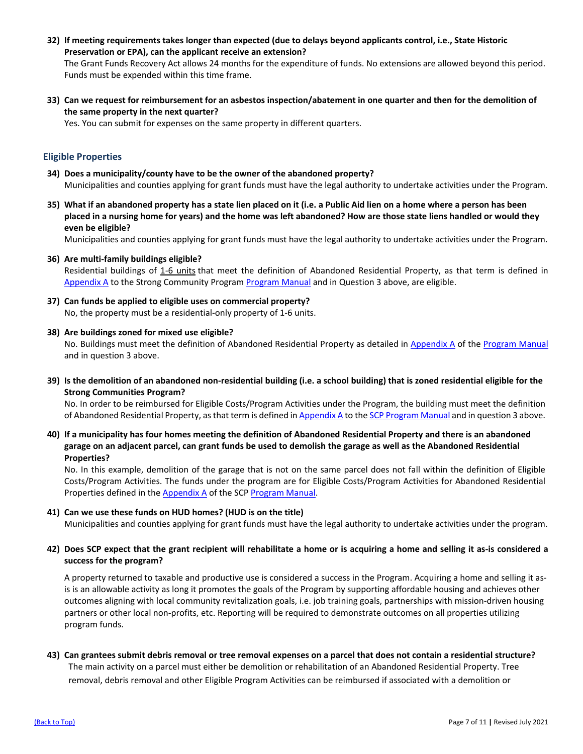**32) If meeting requirements takes longer than expected (due to delays beyond applicants control, i.e., State Historic Preservation or EPA), can the applicant receive an extension?**

The Grant Funds Recovery Act allows 24 months for the expenditure of funds. No extensions are allowed beyond this period. Funds must be expended within this time frame.

**33) Can we request for reimbursement for an asbestos inspection/abatement in one quarter and then for the demolition of the same property in the next quarter?**

Yes. You can submit for expenses on the same property in different quarters.

# **Eligible Properties**

- **34) Does a municipality/county have to be the owner of the abandoned property?** Municipalities and counties applying for grant funds must have the legal authority to undertake activities under the Program.
- **35) What if an abandoned property has a state lien placed on it (i.e. a Public Aid lien on a home where a person has been placed in a nursing home for years) and the home was left abandoned? How are those state liens handled or would they even be eligible?**

Municipalities and counties applying for grant funds must have the legal authority to undertake activities under the Program.

**36) Are multi-family buildings eligible?**

Residential buildings of 1-6 units that meet the definition of Abandoned Residential Property, as that term is defined in [Appendix A](https://df7qosnywqs6g.cloudfront.net/wp-content/uploads/2021/07/Appendix-A-Definition-of-Abandoned-Residential-Property.pdf) to the Strong Community Program [Program](https://df7qosnywqs6g.cloudfront.net/wp-content/uploads/2021/10/Strong-Communities-Program-Manual-Update-10.8.2021.pdf) Manual and in Question 3 above, are eligible.

- **37) Can funds be applied to eligible uses on commercial property?** No, the property must be a residential-only property of 1-6 units.
- **38) Are buildings zoned for mixed use eligible?**

No. Buildings must meet the definition of Abandoned Residential Property as detailed in [Appendix A](https://df7qosnywqs6g.cloudfront.net/wp-content/uploads/2021/07/Appendix-A-Definition-of-Abandoned-Residential-Property.pdf) of th[e Program Manual](https://df7qosnywqs6g.cloudfront.net/wp-content/uploads/2021/10/Strong-Communities-Program-Manual-Update-10.8.2021.pdf) and in question 3 above.

**39) Is the demolition of an abandoned non-residential building (i.e. a school building) that is zoned residential eligible for the Strong Communities Program?**

No. In order to be reimbursed for Eligible Costs/Program Activities under the Program, the building must meet the definition of Abandoned Residential Property, as that term is defined in [Appendix A](https://df7qosnywqs6g.cloudfront.net/wp-content/uploads/2021/07/Appendix-A-Definition-of-Abandoned-Residential-Property.pdf) to the SCP [Program](https://df7qosnywqs6g.cloudfront.net/wp-content/uploads/2021/10/Strong-Communities-Program-Manual-Update-10.8.2021.pdf) Manual and in question 3 above.

**40) If a municipality has four homes meeting the definition of Abandoned Residential Property and there is an abandoned garage on an adjacent parcel, can grant funds be used to demolish the garage as well as the Abandoned Residential Properties?**

No. In this example, demolition of the garage that is not on the same parcel does not fall within the definition of Eligible Costs/Program Activities. The funds under the program are for Eligible Costs/Program Activities for Abandoned Residential Properties defined in the [Appendix A](https://df7qosnywqs6g.cloudfront.net/wp-content/uploads/2021/07/Appendix-A-Definition-of-Abandoned-Residential-Property.pdf) of the SC[P Program Manual.](https://df7qosnywqs6g.cloudfront.net/wp-content/uploads/2021/10/Strong-Communities-Program-Manual-Update-10.8.2021.pdf)

## **41) Can we use these funds on HUD homes? (HUD is on the title)**

Municipalities and counties applying for grant funds must have the legal authority to undertake activities under the program.

# **42) Does SCP expect that the grant recipient will rehabilitate a home or is acquiring a home and selling it as-is considered a success for the program?**

A property returned to taxable and productive use is considered a success in the Program. Acquiring a home and selling it asis is an allowable activity as long it promotes the goals of the Program by supporting affordable housing and achieves other outcomes aligning with local community revitalization goals, i.e. job training goals, partnerships with mission-driven housing partners or other local non-profits, etc. Reporting will be required to demonstrate outcomes on all properties utilizing program funds.

# **43) Can grantees submit debris removal or tree removal expenses on a parcel that does not contain a residential structure?**

The main activity on a parcel must either be demolition or rehabilitation of an Abandoned Residential Property. Tree removal, debris removal and other Eligible Program Activities can be reimbursed if associated with a demolition or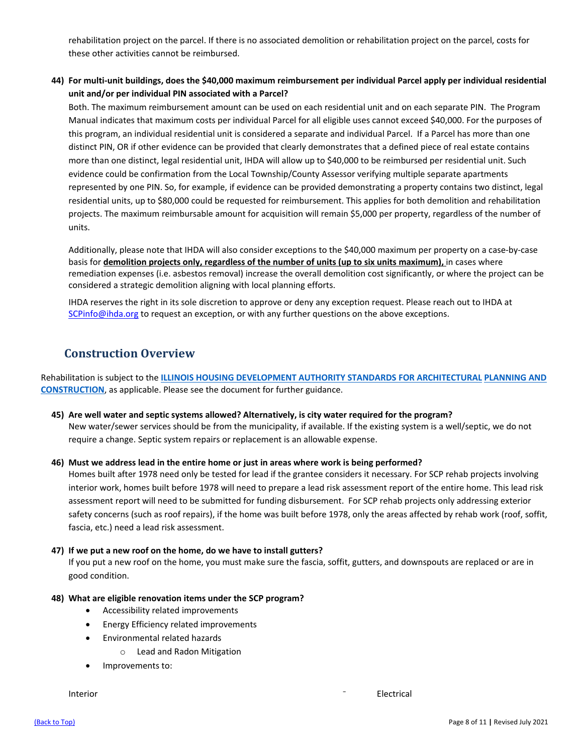rehabilitation project on the parcel. If there is no associated demolition or rehabilitation project on the parcel, costs for these other activities cannot be reimbursed.

# **44) For multi-unit buildings, does the \$40,000 maximum reimbursement per individual Parcel apply per individual residential unit and/or per individual PIN associated with a Parcel?**

Both. The maximum reimbursement amount can be used on each residential unit and on each separate PIN. The Program Manual indicates that maximum costs per individual Parcel for all eligible uses cannot exceed \$40,000. For the purposes of this program, an individual residential unit is considered a separate and individual Parcel. If a Parcel has more than one distinct PIN, OR if other evidence can be provided that clearly demonstrates that a defined piece of real estate contains more than one distinct, legal residential unit, IHDA will allow up to \$40,000 to be reimbursed per residential unit. Such evidence could be confirmation from the Local Township/County Assessor verifying multiple separate apartments represented by one PIN. So, for example, if evidence can be provided demonstrating a property contains two distinct, legal residential units, up to \$80,000 could be requested for reimbursement. This applies for both demolition and rehabilitation projects. The maximum reimbursable amount for acquisition will remain \$5,000 per property, regardless of the number of units.

Additionally, please note that IHDA will also consider exceptions to the \$40,000 maximum per property on a case-by-case basis for **demolition projects only, regardless of the number of units (up to six units maximum),** in cases where remediation expenses (i.e. asbestos removal) increase the overall demolition cost significantly, or where the project can be considered a strategic demolition aligning with local planning efforts.

IHDA reserves the right in its sole discretion to approve or deny any exception request. Please reach out to IHDA at [SCPinfo@ihda.org](mailto:SCPinfo@ihda.org) to request an exception, or with any further questions on the above exceptions.

# **Construction Overview**

Rehabilitation is subject to the **[ILLINOIS HOUSING DEVELOPMENT AUTHORITY STANDARDS FOR](https://www.ihda.org/wp-content/uploads/2015/07/IHDA-Standards-for-Architectural-Planning-and-Construction-2019-FINAL.pdf) ARCHITECTURAL [PLANNING AND](https://www.ihda.org/wp-content/uploads/2015/07/IHDA-Standards-for-Architectural-Planning-and-Construction-2018.pdf)  [CONSTRUCTION](https://www.ihda.org/wp-content/uploads/2015/07/IHDA-Standards-for-Architectural-Planning-and-Construction-2018.pdf)**, as applicable. Please see the document for further guidance.

**45) Are well water and septic systems allowed? Alternatively, is city water required for the program?** New water/sewer services should be from the municipality, if available. If the existing system is a well/septic, we do not require a change. Septic system repairs or replacement is an allowable expense.

# **46) Must we address lead in the entire home or just in areas where work is being performed?**

Homes built after 1978 need only be tested for lead if the grantee considers it necessary. For SCP rehab projects involving interior work, homes built before 1978 will need to prepare a lead risk assessment report of the entire home. This lead risk assessment report will need to be submitted for funding disbursement. For SCP rehab projects only addressing exterior safety concerns (such as roof repairs), if the home was built before 1978, only the areas affected by rehab work (roof, soffit, fascia, etc.) need a lead risk assessment.

## **47) If we put a new roof on the home, do we have to install gutters?**

If you put a new roof on the home, you must make sure the fascia, soffit, gutters, and downspouts are replaced or are in good condition.

## **48) What are eligible renovation items under the SCP program?**

- Accessibility related improvements
- Energy Efficiency related improvements
- Environmental related hazards
	- o Lead and Radon Mitigation
- Improvements to:

Interior **Contract Contract Contract Contract Contract Contract Contract Contract Contract Contract Contract Contract Contract Contract Contract Contract Contract Contract Contract Contract Contract Contract Contract Contr**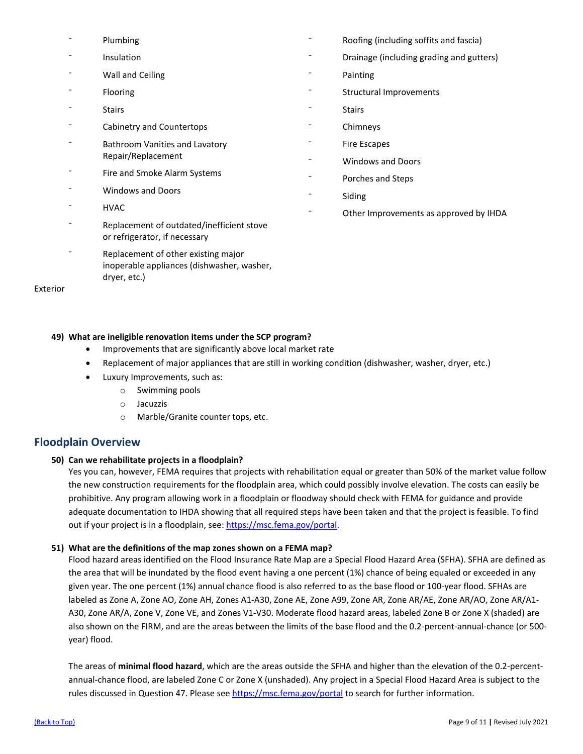- **Plumbing**
- **Insulation**
- Wall and Ceiling
- **Flooring**
- **Stairs**
- ⁻ Cabinetry and Countertops
- ⁻ Bathroom Vanities and Lavatory Repair/Replacement
- ⁻ Fire and Smoke Alarm Systems
- ⁻ Windows and Doors
- HVAC
- ⁻ Replacement of outdated/inefficient stove or refrigerator, if necessary
- ⁻ Replacement of other existing major inoperable appliances (dishwasher, washer, dryer, etc.)

Exterior

- ⁻ Roofing (including soffits and fascia)
- ⁻ Drainage (including grading and gutters)
- **Painting**
- Structural Improvements
- **Stairs**
- **Chimneys**
- ⁻ Fire Escapes
- ⁻ Windows and Doors
- ⁻ Porches and Steps
- **Siding**
- Other Improvements as approved by IHDA

# **49) What are ineligible renovation items under the SCP program?**

- Improvements that are significantly above local market rate
- Replacement of major appliances that are still in working condition (dishwasher, washer, dryer, etc.)
- Luxury Improvements, such as:
	- o Swimming pools
	- o Jacuzzis
	- o Marble/Granite counter tops, etc.

# **Floodplain Overview**

# **50) Can we rehabilitate projects in a floodplain?**

Yes you can, however, FEMA requires that projects with rehabilitation equal or greater than 50% of the market value follow the new construction requirements for the floodplain area, which could possibly involve elevation. The costs can easily be prohibitive. Any program allowing work in a floodplain or floodway should check with FEMA for guidance and provide adequate documentation to IHDA showing that all required steps have been taken and that the project is feasible. To find out if your project is in a floodplain, see[: https://msc.fema.gov/portal.](https://msc.fema.gov/portal)

# **51) What are the definitions of the map zones shown on a FEMA map?**

Flood hazard areas identified on the Flood Insurance Rate Map are a Special Flood Hazard Area (SFHA). SFHA are defined as the area that will be inundated by the flood event having a one percent (1%) chance of being equaled or exceeded in any given year. The one percent (1%) annual chance flood is also referred to as the base flood or 100-year flood. SFHAs are labeled as Zone A, Zone AO, Zone AH, Zones A1-A30, Zone AE, Zone A99, Zone AR, Zone AR/AE, Zone AR/AO, Zone AR/A1- A30, Zone AR/A, Zone V, Zone VE, and Zones V1-V30. Moderate flood hazard areas, labeled Zone B or Zone X (shaded) are also shown on the FIRM, and are the areas between the limits of the base flood and the 0.2-percent-annual-chance (or 500 year) flood.

The areas of **minimal flood hazard**, which are the areas outside the SFHA and higher than the elevation of the 0.2-percentannual-chance flood, are labeled Zone C or Zone X (unshaded). Any project in a Special Flood Hazard Area is subject to the rules discussed in Question 47. Please see<https://msc.fema.gov/portal> to search for further information.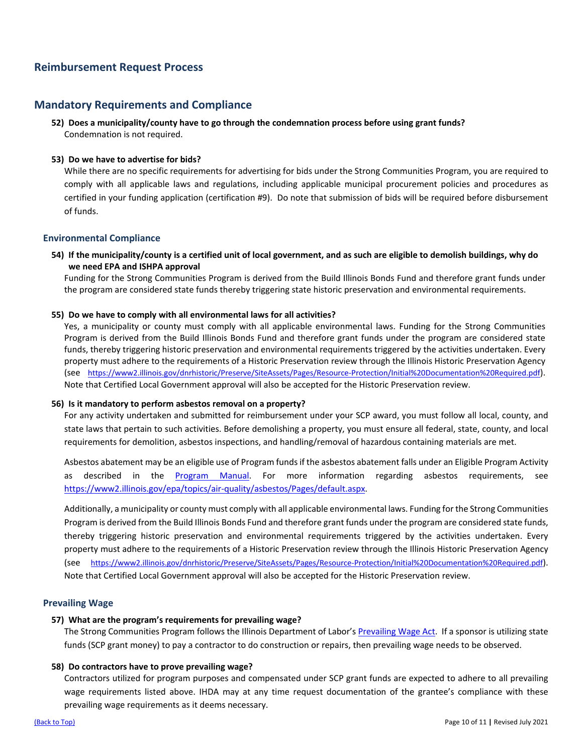# **Reimbursement Request Process**

# **Mandatory Requirements and Compliance**

**52) Does a municipality/county have to go through the condemnation process before using grant funds?** Condemnation is not required.

## **53) Do we have to advertise for bids?**

While there are no specific requirements for advertising for bids under the Strong Communities Program, you are required to comply with all applicable laws and regulations, including applicable municipal procurement policies and procedures as certified in your funding application (certification #9). Do note that submission of bids will be required before disbursement of funds.

# **Environmental Compliance**

**54) If the municipality/county is a certified unit of local government, and as such are eligible to demolish buildings, why do we need EPA and ISHPA approval** 

Funding for the Strong Communities Program is derived from the Build Illinois Bonds Fund and therefore grant funds under the program are considered state funds thereby triggering state historic preservation and environmental requirements.

## **55) Do we have to comply with all environmental laws for all activities?**

Yes, a municipality or county must comply with all applicable environmental laws. Funding for the Strong Communities Program is derived from the Build Illinois Bonds Fund and therefore grant funds under the program are considered state funds, thereby triggering historic preservation and environmental requirements triggered by the activities undertaken. Every property must adhere to the requirements of a Historic Preservation review through the Illinois Historic Preservation Agency (see [https://www2.illinois.gov/dnrhistoric/Preserve/SiteAssets/Pages/Resource-Protection/Initial%20Documentation%20Required.pdf\)](https://www2.illinois.gov/dnrhistoric/Preserve/SiteAssets/Pages/Resource-Protection/Initial%20Documentation%20Required.pdf). Note that Certified Local Government approval will also be accepted for the Historic Preservation review.

## **56) Is it mandatory to perform asbestos removal on a property?**

For any activity undertaken and submitted for reimbursement under your SCP award, you must follow all local, county, and state laws that pertain to such activities. Before demolishing a property, you must ensure all federal, state, county, and local requirements for demolition, asbestos inspections, and handling/removal of hazardous containing materials are met.

Asbestos abatement may be an eligible use of Program funds if the asbestos abatement falls under an Eligible Program Activity as described in the [Program Manual.](https://df7qosnywqs6g.cloudfront.net/wp-content/uploads/2021/10/Strong-Communities-Program-Manual-Update-10.8.2021.pdf) For more information regarding asbestos requirements, see [https://www2.illinois.gov/epa/topics/air-quality/asbestos/Pages/default.aspx.](https://www2.illinois.gov/epa/topics/air-quality/asbestos/Pages/default.aspx)

Additionally, a municipality or county must comply with all applicable environmental laws. Funding for the Strong Communities Program is derived from the Build Illinois Bonds Fund and therefore grant funds under the program are considered state funds, thereby triggering historic preservation and environmental requirements triggered by the activities undertaken. Every property must adhere to the requirements of a Historic Preservation review through the Illinois Historic Preservation Agency (see [https://www2.illinois.gov/dnrhistoric/Preserve/SiteAssets/Pages/Resource-Protection/Initial%20Documentation%20Required.pdf\)](https://www2.illinois.gov/dnrhistoric/Preserve/SiteAssets/Pages/Resource-Protection/Initial%20Documentation%20Required.pdf). Note that Certified Local Government approval will also be accepted for the Historic Preservation review.

## **Prevailing Wage**

## **57) What are the program's requirements for prevailing wage?**

The Strong Communities Program follows the Illinois Department of Labor'[s Prevailing Wage Act.](https://www.illinois.gov/idol/Laws-Rules/CONMED/Pages/prevailing-wage-act.aspx) If a sponsor is utilizing state funds (SCP grant money) to pay a contractor to do construction or repairs, then prevailing wage needs to be observed.

## **58) Do contractors have to prove prevailing wage?**

Contractors utilized for program purposes and compensated under SCP grant funds are expected to adhere to all prevailing wage requirements listed above. IHDA may at any time request documentation of the grantee's compliance with these prevailing wage requirements as it deems necessary.